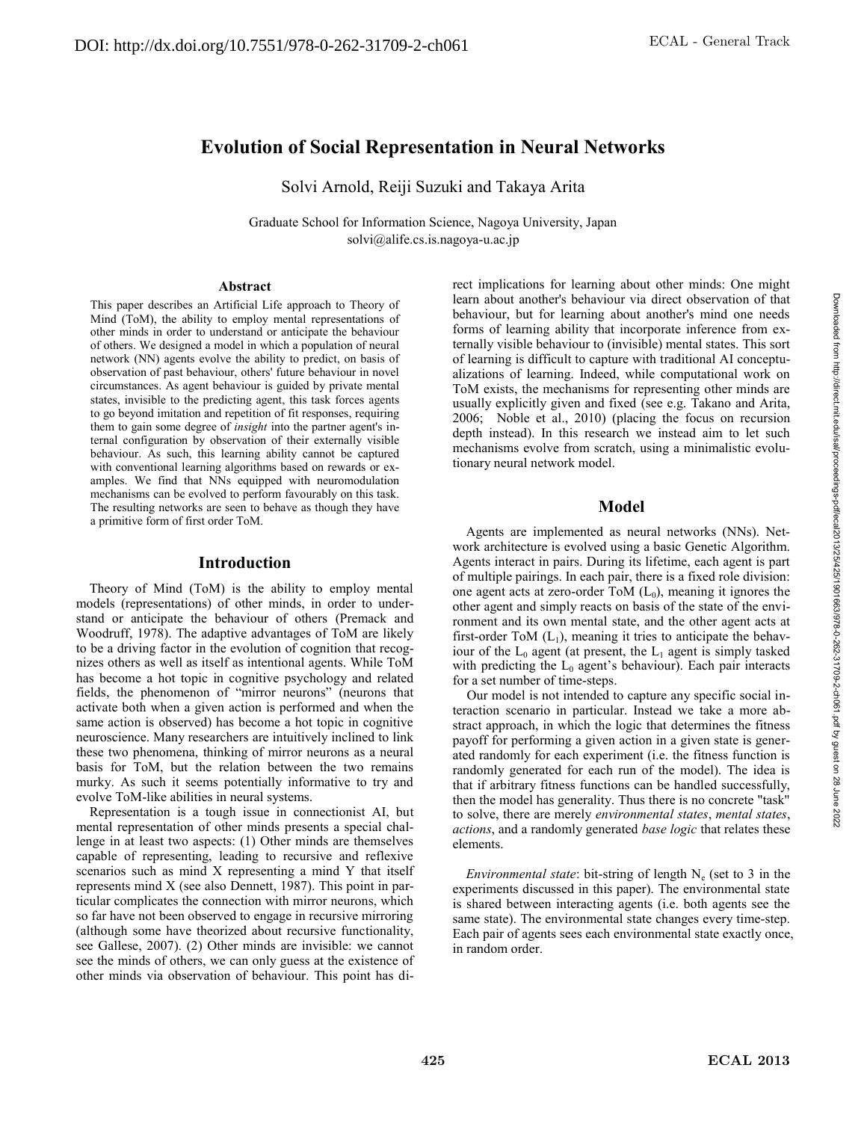# **Evolution of Social Representation in Neural Networks**

Solvi Arnold, Reiji Suzuki and Takaya Arita

Graduate School for Information Science, Nagoya University, Japan solvi@alife.cs.is.nagoya-u.ac.jp

#### **Abstract**

This paper describes an Artificial Life approach to Theory of Mind (ToM), the ability to employ mental representations of other minds in order to understand or anticipate the behaviour of others. We designed a model in which a population of neural network (NN) agents evolve the ability to predict, on basis of observation of past behaviour, others' future behaviour in novel circumstances. As agent behaviour is guided by private mental states, invisible to the predicting agent, this task forces agents to go beyond imitation and repetition of fit responses, requiring them to gain some degree of *insight* into the partner agent's internal configuration by observation of their externally visible behaviour. As such, this learning ability cannot be captured with conventional learning algorithms based on rewards or examples. We find that NNs equipped with neuromodulation mechanisms can be evolved to perform favourably on this task. The resulting networks are seen to behave as though they have a primitive form of first order ToM.

## **Introduction**

Theory of Mind (ToM) is the ability to employ mental models (representations) of other minds, in order to understand or anticipate the behaviour of others (Premack and Woodruff, 1978). The adaptive advantages of ToM are likely to be a driving factor in the evolution of cognition that recognizes others as well as itself as intentional agents. While ToM has become a hot topic in cognitive psychology and related fields, the phenomenon of "mirror neurons" (neurons that activate both when a given action is performed and when the same action is observed) has become a hot topic in cognitive neuroscience. Many researchers are intuitively inclined to link these two phenomena, thinking of mirror neurons as a neural basis for ToM, but the relation between the two remains murky. As such it seems potentially informative to try and evolve ToM-like abilities in neural systems.

Representation is a tough issue in connectionist AI, but mental representation of other minds presents a special challenge in at least two aspects: (1) Other minds are themselves capable of representing, leading to recursive and reflexive scenarios such as mind X representing a mind Y that itself represents mind X (see also Dennett, 1987). This point in particular complicates the connection with mirror neurons, which so far have not been observed to engage in recursive mirroring (although some have theorized about recursive functionality, see Gallese, 2007). (2) Other minds are invisible: we cannot see the minds of others, we can only guess at the existence of other minds via observation of behaviour. This point has direct implications for learning about other minds: One might learn about another's behaviour via direct observation of that behaviour, but for learning about another's mind one needs forms of learning ability that incorporate inference from externally visible behaviour to (invisible) mental states. This sort of learning is difficult to capture with traditional AI conceptualizations of learning. Indeed, while computational work on ToM exists, the mechanisms for representing other minds are usually explicitly given and fixed (see e.g. Takano and Arita, 2006; Noble et al., 2010) (placing the focus on recursion depth instead). In this research we instead aim to let such mechanisms evolve from scratch, using a minimalistic evolutionary neural network model.

# **Model**

Agents are implemented as neural networks (NNs). Network architecture is evolved using a basic Genetic Algorithm. Agents interact in pairs. During its lifetime, each agent is part of multiple pairings. In each pair, there is a fixed role division: one agent acts at zero-order ToM  $(L_0)$ , meaning it ignores the other agent and simply reacts on basis of the state of the environment and its own mental state, and the other agent acts at first-order ToM  $(L_1)$ , meaning it tries to anticipate the behaviour of the  $L_0$  agent (at present, the  $L_1$  agent is simply tasked with predicting the  $L_0$  agent's behaviour). Each pair interacts for a set number of time-steps.

Our model is not intended to capture any specific social interaction scenario in particular. Instead we take a more abstract approach, in which the logic that determines the fitness payoff for performing a given action in a given state is generated randomly for each experiment (i.e. the fitness function is randomly generated for each run of the model). The idea is that if arbitrary fitness functions can be handled successfully, then the model has generality. Thus there is no concrete "task" to solve, there are merely *environmental states*, *mental states*, *actions*, and a randomly generated *base logic* that relates these elements.

*Environmental state*: bit-string of length N<sub>e</sub> (set to 3 in the experiments discussed in this paper). The environmental state is shared between interacting agents (i.e. both agents see the same state). The environmental state changes every time-step. Each pair of agents sees each environmental state exactly once, in random order.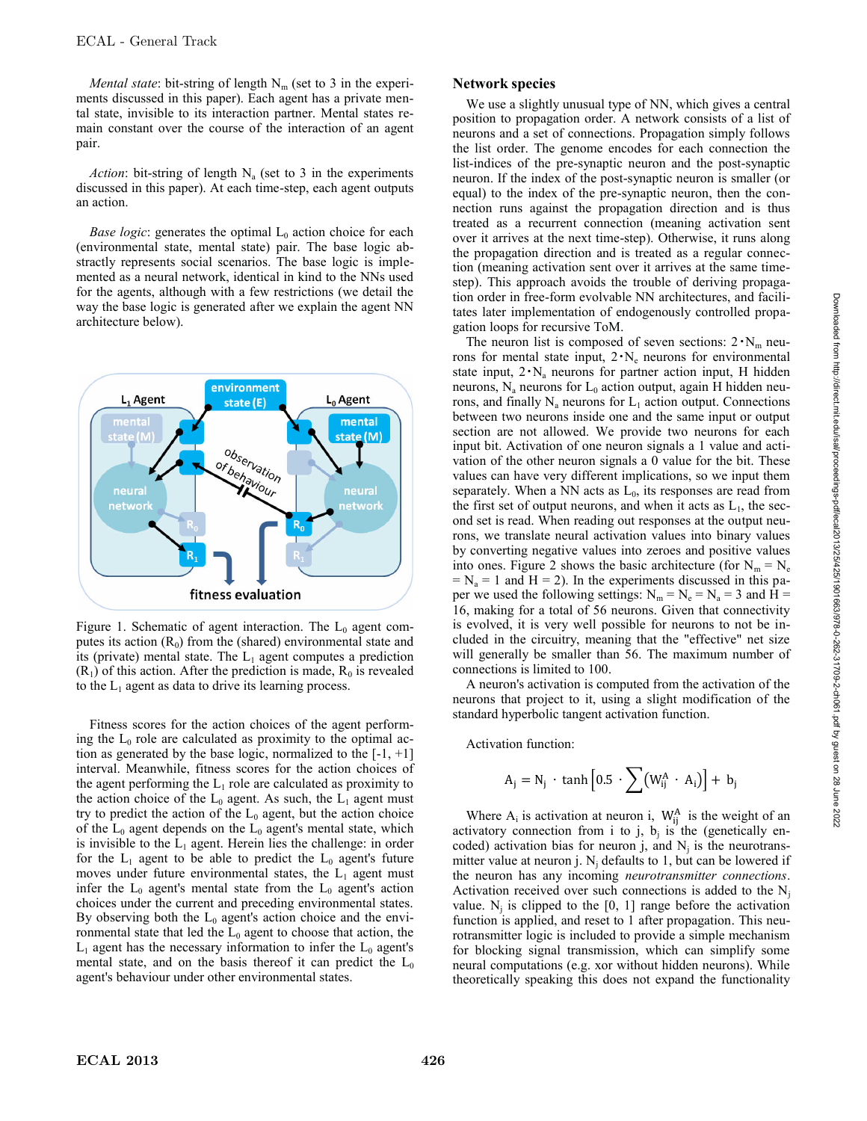*Mental state*: bit-string of length  $N_m$  (set to 3 in the experiments discussed in this paper). Each agent has a private mental state, invisible to its interaction partner. Mental states remain constant over the course of the interaction of an agent pair.

*Action*: bit-string of length  $N_a$  (set to 3 in the experiments discussed in this paper). At each time-step, each agent outputs an action.

*Base logic*: generates the optimal  $L_0$  action choice for each (environmental state, mental state) pair. The base logic abstractly represents social scenarios. The base logic is implemented as a neural network, identical in kind to the NNs used for the agents, although with a few restrictions (we detail the way the base logic is generated after we explain the agent NN architecture below).



Figure 1. Schematic of agent interaction. The  $L_0$  agent computes its action  $(R_0)$  from the (shared) environmental state and its (private) mental state. The  $L_1$  agent computes a prediction  $(R<sub>1</sub>)$  of this action. After the prediction is made,  $R<sub>0</sub>$  is revealed to the  $L_1$  agent as data to drive its learning process.

Fitness scores for the action choices of the agent performing the  $L_0$  role are calculated as proximity to the optimal action as generated by the base logic, normalized to the  $[-1, +1]$ interval. Meanwhile, fitness scores for the action choices of the agent performing the  $L_1$  role are calculated as proximity to the action choice of the  $L_0$  agent. As such, the  $L_1$  agent must try to predict the action of the  $L_0$  agent, but the action choice of the  $L_0$  agent depends on the  $L_0$  agent's mental state, which is invisible to the  $L_1$  agent. Herein lies the challenge: in order for the  $L_1$  agent to be able to predict the  $L_0$  agent's future moves under future environmental states, the  $L_1$  agent must infer the  $L_0$  agent's mental state from the  $L_0$  agent's action choices under the current and preceding environmental states. By observing both the  $L_0$  agent's action choice and the environmental state that led the  $L_0$  agent to choose that action, the  $L_1$  agent has the necessary information to infer the  $L_0$  agent's mental state, and on the basis thereof it can predict the  $L_0$ agent's behaviour under other environmental states.

## **Network species**

We use a slightly unusual type of NN, which gives a central position to propagation order. A network consists of a list of neurons and a set of connections. Propagation simply follows the list order. The genome encodes for each connection the list-indices of the pre-synaptic neuron and the post-synaptic neuron. If the index of the post-synaptic neuron is smaller (or equal) to the index of the pre-synaptic neuron, then the connection runs against the propagation direction and is thus treated as a recurrent connection (meaning activation sent over it arrives at the next time-step). Otherwise, it runs along the propagation direction and is treated as a regular connection (meaning activation sent over it arrives at the same timestep). This approach avoids the trouble of deriving propagation order in free-form evolvable NN architectures, and facilitates later implementation of endogenously controlled propagation loops for recursive ToM.

The neuron list is composed of seven sections:  $2 \cdot N_m$  neurons for mental state input,  $2 \cdot N_e$  neurons for environmental state input,  $2 \cdot N_a$  neurons for partner action input, H hidden neurons,  $N_a$  neurons for  $L_0$  action output, again H hidden neurons, and finally  $N_a$  neurons for  $L_1$  action output. Connections between two neurons inside one and the same input or output section are not allowed. We provide two neurons for each input bit. Activation of one neuron signals a 1 value and activation of the other neuron signals a 0 value for the bit. These values can have very different implications, so we input them separately. When a NN acts as  $L_0$ , its responses are read from the first set of output neurons, and when it acts as  $L_1$ , the second set is read. When reading out responses at the output neurons, we translate neural activation values into binary values by converting negative values into zeroes and positive values into ones. Figure 2 shows the basic architecture (for  $N_m = N_e$  $=N_a = 1$  and H = 2). In the experiments discussed in this paper we used the following settings:  $N_m = N_e = N_a = 3$  and H = 16, making for a total of 56 neurons. Given that connectivity is evolved, it is very well possible for neurons to not be included in the circuitry, meaning that the "effective" net size will generally be smaller than 56. The maximum number of connections is limited to 100.

A neuron's activation is computed from the activation of the neurons that project to it, using a slight modification of the standard hyperbolic tangent activation function.

Activation function:

$$
A_j = N_j \, \cdot \, \tanh \Bigl[ 0.5 \, \cdot \sum \bigl( W^A_{ij} \, \cdot \, A_i \bigr) \Bigr] + \, b_j
$$

Where  $A_i$  is activation at neuron i,  $W_{ii}^A$  is the weight of an activatory connection from i to j,  $b_i$  is the (genetically encoded) activation bias for neuron j, and  $N_i$  is the neurotransmitter value at neuron j.  $N_i$  defaults to 1, but can be lowered if the neuron has any incoming *neurotransmitter connections*. Activation received over such connections is added to the  $N_i$ value.  $N_i$  is clipped to the [0, 1] range before the activation function is applied, and reset to 1 after propagation. This neurotransmitter logic is included to provide a simple mechanism for blocking signal transmission, which can simplify some neural computations (e.g. xor without hidden neurons). While theoretically speaking this does not expand the functionality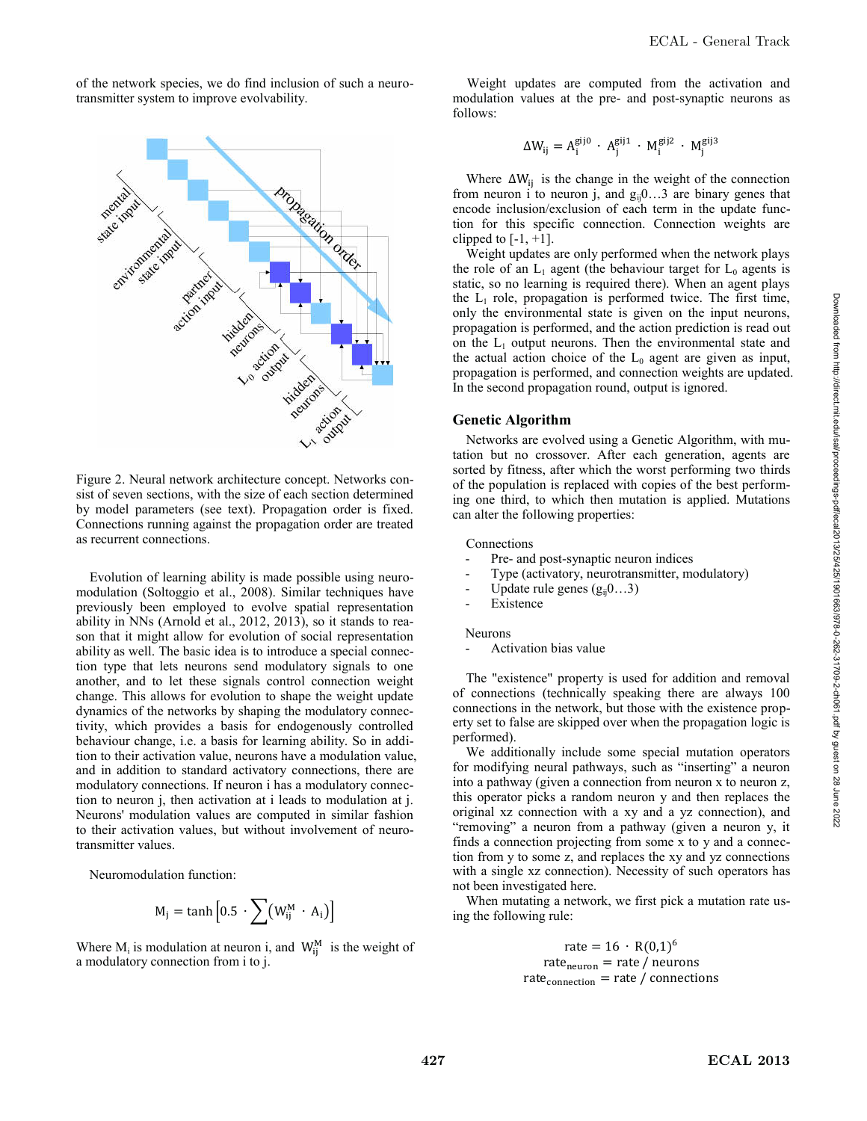of the network species, we do find inclusion of such a neurotransmitter system to improve evolvability.



Figure 2. Neural network architecture concept. Networks consist of seven sections, with the size of each section determined by model parameters (see text). Propagation order is fixed. Connections running against the propagation order are treated as recurrent connections.

Evolution of learning ability is made possible using neuromodulation (Soltoggio et al., 2008). Similar techniques have previously been employed to evolve spatial representation ability in NNs (Arnold et al., 2012, 2013), so it stands to reason that it might allow for evolution of social representation ability as well. The basic idea is to introduce a special connection type that lets neurons send modulatory signals to one another, and to let these signals control connection weight change. This allows for evolution to shape the weight update dynamics of the networks by shaping the modulatory connectivity, which provides a basis for endogenously controlled behaviour change, i.e. a basis for learning ability. So in addition to their activation value, neurons have a modulation value, and in addition to standard activatory connections, there are modulatory connections. If neuron i has a modulatory connection to neuron j, then activation at i leads to modulation at j. Neurons' modulation values are computed in similar fashion to their activation values, but without involvement of neurotransmitter values.

Neuromodulation function:

$$
M_j = \tanh\left[0.5 \cdot \sum (W_{ij}^M \cdot A_i)\right]
$$

Where  $M_i$  is modulation at neuron i, and  $W_{ij}^M$  is the weight of a modulatory connection from i to j.

Weight updates are computed from the activation and modulation values at the pre- and post-synaptic neurons as follows:

$$
\Delta W_{ij} = A_i^{gij0} \cdot A_j^{gij1} \cdot M_i^{gij2} \cdot M_j^{gij3}
$$

Where  $\Delta W_{ij}$  is the change in the weight of the connection from neuron i to neuron j, and  $g_{ij}0...3$  are binary genes that encode inclusion/exclusion of each term in the update function for this specific connection. Connection weights are clipped to  $[-1, +1]$ .

Weight updates are only performed when the network plays the role of an  $L_1$  agent (the behaviour target for  $L_0$  agents is static, so no learning is required there). When an agent plays the  $L_1$  role, propagation is performed twice. The first time, only the environmental state is given on the input neurons, propagation is performed, and the action prediction is read out on the  $L_1$  output neurons. Then the environmental state and the actual action choice of the  $L_0$  agent are given as input, propagation is performed, and connection weights are updated. In the second propagation round, output is ignored.

## **Genetic Algorithm**

Networks are evolved using a Genetic Algorithm, with mutation but no crossover. After each generation, agents are sorted by fitness, after which the worst performing two thirds of the population is replaced with copies of the best performing one third, to which then mutation is applied. Mutations can alter the following properties:

#### Connections

- Pre- and post-synaptic neuron indices
- Type (activatory, neurotransmitter, modulatory)
- Update rule genes  $(g_{ii}0...3)$
- **Existence**

Neurons

Activation bias value

The "existence" property is used for addition and removal of connections (technically speaking there are always 100 connections in the network, but those with the existence property set to false are skipped over when the propagation logic is performed).

We additionally include some special mutation operators for modifying neural pathways, such as "inserting" a neuron into a pathway (given a connection from neuron x to neuron z, this operator picks a random neuron y and then replaces the original xz connection with a xy and a yz connection), and "removing" a neuron from a pathway (given a neuron y, it finds a connection projecting from some x to y and a connection from y to some z, and replaces the xy and yz connections with a single xz connection). Necessity of such operators has not been investigated here.

When mutating a network, we first pick a mutation rate using the following rule:

> rate =  $16 \cdot R(0,1)^6$ rate<sub>neuron</sub> = rate / neurons  $rate_{connection}$  = rate / connections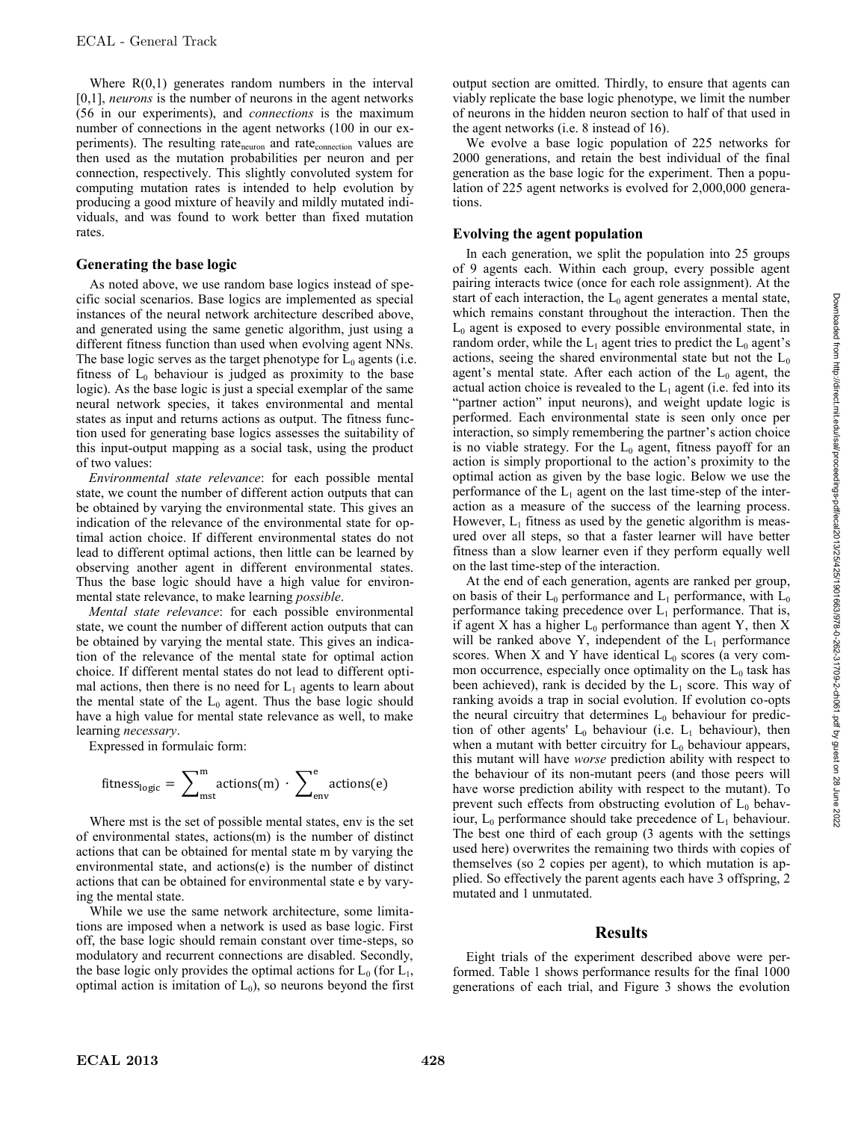Where  $R(0,1)$  generates random numbers in the interval [0,1], *neurons* is the number of neurons in the agent networks (56 in our experiments), and *connections* is the maximum number of connections in the agent networks (100 in our experiments). The resulting rate<sub>neuron</sub> and rate<sub>connection</sub> values are then used as the mutation probabilities per neuron and per connection, respectively. This slightly convoluted system for computing mutation rates is intended to help evolution by producing a good mixture of heavily and mildly mutated individuals, and was found to work better than fixed mutation rates.

## **Generating the base logic**

As noted above, we use random base logics instead of specific social scenarios. Base logics are implemented as special instances of the neural network architecture described above, and generated using the same genetic algorithm, just using a different fitness function than used when evolving agent NNs. The base logic serves as the target phenotype for  $L_0$  agents (i.e. fitness of  $L_0$  behaviour is judged as proximity to the base logic). As the base logic is just a special exemplar of the same neural network species, it takes environmental and mental states as input and returns actions as output. The fitness function used for generating base logics assesses the suitability of this input-output mapping as a social task, using the product of two values:

*Environmental state relevance*: for each possible mental state, we count the number of different action outputs that can be obtained by varying the environmental state. This gives an indication of the relevance of the environmental state for optimal action choice. If different environmental states do not lead to different optimal actions, then little can be learned by observing another agent in different environmental states. Thus the base logic should have a high value for environmental state relevance, to make learning *possible*.

*Mental state relevance*: for each possible environmental state, we count the number of different action outputs that can be obtained by varying the mental state. This gives an indication of the relevance of the mental state for optimal action choice. If different mental states do not lead to different optimal actions, then there is no need for  $L_1$  agents to learn about the mental state of the  $L_0$  agent. Thus the base logic should have a high value for mental state relevance as well, to make learning *necessary*.

Expressed in formulaic form:

$$
fitness_{logic} = \sum\nolimits_{mst}^{m}actions(m) \cdot \sum\nolimits_{env}^{e}actions(e)
$$

Where mst is the set of possible mental states, env is the set of environmental states, actions(m) is the number of distinct actions that can be obtained for mental state m by varying the environmental state, and actions(e) is the number of distinct actions that can be obtained for environmental state e by varying the mental state.

While we use the same network architecture, some limitations are imposed when a network is used as base logic. First off, the base logic should remain constant over time-steps, so modulatory and recurrent connections are disabled. Secondly, the base logic only provides the optimal actions for  $L_0$  (for  $L_1$ , optimal action is imitation of  $L_0$ ), so neurons beyond the first output section are omitted. Thirdly, to ensure that agents can viably replicate the base logic phenotype, we limit the number of neurons in the hidden neuron section to half of that used in the agent networks (i.e. 8 instead of 16).

We evolve a base logic population of 225 networks for 2000 generations, and retain the best individual of the final generation as the base logic for the experiment. Then a population of 225 agent networks is evolved for 2,000,000 generations.

## **Evolving the agent population**

In each generation, we split the population into 25 groups of 9 agents each. Within each group, every possible agent pairing interacts twice (once for each role assignment). At the start of each interaction, the  $L_0$  agent generates a mental state, which remains constant throughout the interaction. Then the  $L_0$  agent is exposed to every possible environmental state, in random order, while the  $L_1$  agent tries to predict the  $L_0$  agent's actions, seeing the shared environmental state but not the  $L_0$ agent's mental state. After each action of the  $L_0$  agent, the actual action choice is revealed to the  $L_1$  agent (i.e. fed into its "partner action" input neurons), and weight update logic is performed. Each environmental state is seen only once per interaction, so simply remembering the partner's action choice is no viable strategy. For the  $L_0$  agent, fitness payoff for an action is simply proportional to the action's proximity to the optimal action as given by the base logic. Below we use the performance of the  $L_1$  agent on the last time-step of the interaction as a measure of the success of the learning process. However,  $L_1$  fitness as used by the genetic algorithm is measured over all steps, so that a faster learner will have better fitness than a slow learner even if they perform equally well on the last time-step of the interaction.

At the end of each generation, agents are ranked per group, on basis of their  $L_0$  performance and  $L_1$  performance, with  $L_0$ performance taking precedence over  $L_1$  performance. That is, if agent X has a higher  $L_0$  performance than agent Y, then X will be ranked above Y, independent of the  $L_1$  performance scores. When X and Y have identical  $L_0$  scores (a very common occurrence, especially once optimality on the  $L_0$  task has been achieved), rank is decided by the  $L_1$  score. This way of ranking avoids a trap in social evolution. If evolution co-opts the neural circuitry that determines  $L_0$  behaviour for prediction of other agents'  $L_0$  behaviour (i.e.  $L_1$  behaviour), then when a mutant with better circuitry for  $L_0$  behaviour appears, this mutant will have *worse* prediction ability with respect to the behaviour of its non-mutant peers (and those peers will have worse prediction ability with respect to the mutant). To prevent such effects from obstructing evolution of  $L_0$  behaviour,  $L_0$  performance should take precedence of  $L_1$  behaviour. The best one third of each group (3 agents with the settings used here) overwrites the remaining two thirds with copies of themselves (so 2 copies per agent), to which mutation is applied. So effectively the parent agents each have 3 offspring, 2 mutated and 1 unmutated.

# **Results**

Eight trials of the experiment described above were performed. Table 1 shows performance results for the final 1000 generations of each trial, and Figure 3 shows the evolution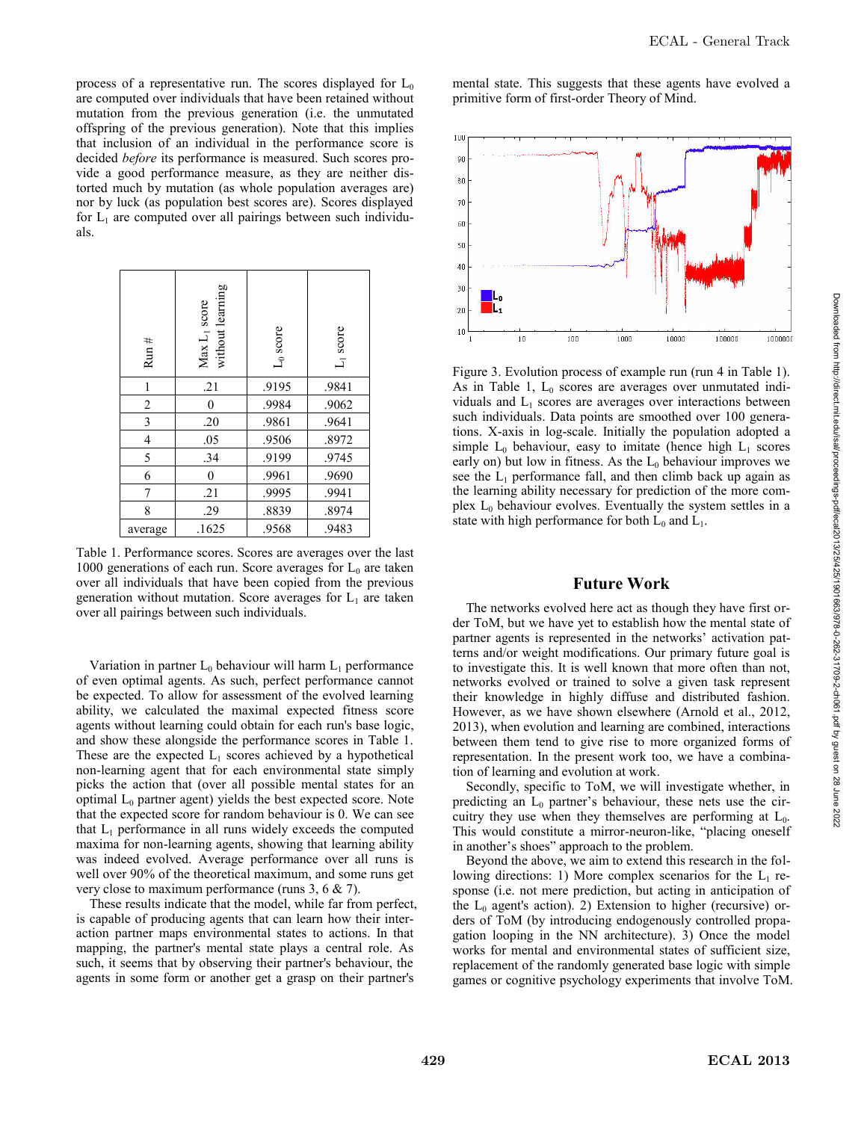process of a representative run. The scores displayed for  $L_0$ are computed over individuals that have been retained without mutation from the previous generation (i.e. the unmutated offspring of the previous generation). Note that this implies that inclusion of an individual in the performance score is decided *before* its performance is measured. Such scores provide a good performance measure, as they are neither distorted much by mutation (as whole population averages are) nor by luck (as population best scores are). Scores displayed for  $L_1$  are computed over all pairings between such individuals.

| Run#           | $Max L1 score$<br>without learning | $L_0$ score | $L_1$ score |
|----------------|------------------------------------|-------------|-------------|
| $\mathbf{1}$   | .21                                | .9195       | .9841       |
| $\overline{2}$ | $\mathbf{0}$                       | .9984       | .9062       |
| $\mathfrak{Z}$ | .20                                | .9861       | .9641       |
| $\overline{4}$ | .05                                | .9506       | .8972       |
| 5              | .34                                | .9199       | .9745       |
| 6              | $\mathbf{0}$                       | .9961       | .9690       |
| 7              | .21                                | .9995       | .9941       |
| 8              | .29                                | .8839       | .8974       |
| average        | .1625                              | .9568       | .9483       |

Table 1. Performance scores. Scores are averages over the last 1000 generations of each run. Score averages for  $L_0$  are taken over all individuals that have been copied from the previous generation without mutation. Score averages for  $L_1$  are taken over all pairings between such individuals.

Variation in partner  $L_0$  behaviour will harm  $L_1$  performance of even optimal agents. As such, perfect performance cannot be expected. To allow for assessment of the evolved learning ability, we calculated the maximal expected fitness score agents without learning could obtain for each run's base logic, and show these alongside the performance scores in Table 1. These are the expected  $L_1$  scores achieved by a hypothetical non-learning agent that for each environmental state simply picks the action that (over all possible mental states for an optimal  $L_0$  partner agent) yields the best expected score. Note that the expected score for random behaviour is 0. We can see that  $L_1$  performance in all runs widely exceeds the computed maxima for non-learning agents, showing that learning ability was indeed evolved. Average performance over all runs is well over 90% of the theoretical maximum, and some runs get very close to maximum performance (runs 3, 6 & 7).

These results indicate that the model, while far from perfect, is capable of producing agents that can learn how their interaction partner maps environmental states to actions. In that mapping, the partner's mental state plays a central role. As such, it seems that by observing their partner's behaviour, the agents in some form or another get a grasp on their partner's

mental state. This suggests that these agents have evolved a primitive form of first-order Theory of Mind.



Figure 3. Evolution process of example run (run 4 in Table 1). As in Table 1,  $L_0$  scores are averages over unmutated individuals and  $L_1$  scores are averages over interactions between such individuals. Data points are smoothed over 100 generations. X-axis in log-scale. Initially the population adopted a simple  $L_0$  behaviour, easy to imitate (hence high  $L_1$  scores early on) but low in fitness. As the  $L_0$  behaviour improves we see the  $L_1$  performance fall, and then climb back up again as the learning ability necessary for prediction of the more complex  $L_0$  behaviour evolves. Eventually the system settles in a state with high performance for both  $L_0$  and  $L_1$ .

## **Future Work**

The networks evolved here act as though they have first order ToM, but we have yet to establish how the mental state of partner agents is represented in the networks' activation patterns and/or weight modifications. Our primary future goal is to investigate this. It is well known that more often than not, networks evolved or trained to solve a given task represent their knowledge in highly diffuse and distributed fashion. However, as we have shown elsewhere (Arnold et al., 2012, 2013), when evolution and learning are combined, interactions between them tend to give rise to more organized forms of representation. In the present work too, we have a combination of learning and evolution at work.

Secondly, specific to ToM, we will investigate whether, in predicting an  $L_0$  partner's behaviour, these nets use the circuitry they use when they themselves are performing at  $L_0$ . This would constitute a mirror-neuron-like, "placing oneself in another's shoes" approach to the problem.

Beyond the above, we aim to extend this research in the following directions: 1) More complex scenarios for the  $L_1$  response (i.e. not mere prediction, but acting in anticipation of the  $L_0$  agent's action). 2) Extension to higher (recursive) orders of ToM (by introducing endogenously controlled propagation looping in the NN architecture). 3) Once the model works for mental and environmental states of sufficient size, replacement of the randomly generated base logic with simple games or cognitive psychology experiments that involve ToM.